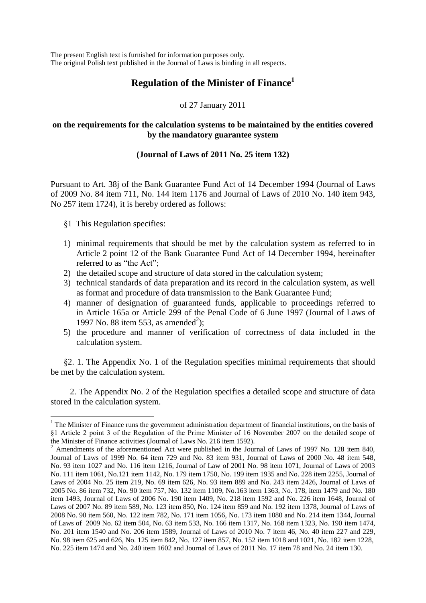The present English text is furnished for information purposes only. The original Polish text published in the Journal of Laws is binding in all respects.

# **Regulation of the Minister of Finance<sup>1</sup>**

of 27 January 2011

## **on the requirements for the calculation systems to be maintained by the entities covered by the mandatory guarantee system**

# **(Journal of Laws of 2011 No. 25 item 132)**

Pursuant to Art. 38j of the Bank Guarantee Fund Act of 14 December 1994 (Journal of Laws of 2009 No. 84 item 711, No. 144 item 1176 and Journal of Laws of 2010 No. 140 item 943, No 257 item 1724), it is hereby ordered as follows:

§1 This Regulation specifies:

1

- 1) minimal requirements that should be met by the calculation system as referred to in Article 2 point 12 of the Bank Guarantee Fund Act of 14 December 1994, hereinafter referred to as "the Act".
- 2) the detailed scope and structure of data stored in the calculation system;
- 3) technical standards of data preparation and its record in the calculation system, as well as format and procedure of data transmission to the Bank Guarantee Fund;
- 4) manner of designation of guaranteed funds, applicable to proceedings referred to in Article 165a or Article 299 of the Penal Code of 6 June 1997 (Journal of Laws of 1997 No. 88 item 553, as amended<sup>2</sup>);
- 5) the procedure and manner of verification of correctness of data included in the calculation system.

§2. 1. The Appendix No. 1 of the Regulation specifies minimal requirements that should be met by the calculation system.

2. The Appendix No. 2 of the Regulation specifies a detailed scope and structure of data stored in the calculation system.

<sup>&</sup>lt;sup>1</sup> The Minister of Finance runs the government administration department of financial institutions, on the basis of §1 Article 2 point 3 of the Regulation of the Prime Minister of 16 November 2007 on the detailed scope of the Minister of Finance activities (Journal of Laws No. 216 item 1592).

 $^2$  Amendments of the aforementioned Act were published in the Journal of Laws of 1997 No. 128 item 840, Journal of Laws of 1999 No. 64 item 729 and No. 83 item 931, Journal of Laws of 2000 No. 48 item 548, No. 93 item 1027 and No. 116 item 1216, Journal of Law of 2001 No. 98 item 1071, Journal of Laws of 2003 No. 111 item 1061, No.121 item 1142, No. 179 item 1750, No. 199 item 1935 and No. 228 item 2255, Journal of Laws of 2004 No. 25 item 219, No. 69 item 626, No. 93 item 889 and No. 243 item 2426, Journal of Laws of 2005 No. 86 item 732, No. 90 item 757, No. 132 item 1109, No.163 item 1363, No. 178, item 1479 and No. 180 item 1493, Journal of Laws of 2006 No. 190 item 1409, No. 218 item 1592 and No. 226 item 1648, Journal of Laws of 2007 No. 89 item 589, No. 123 item 850, No. 124 item 859 and No. 192 item 1378, Journal of Laws of 2008 No. 90 item 560, No. 122 item 782, No. 171 item 1056, No. 173 item 1080 and No. 214 item 1344, Journal of Laws of 2009 No. 62 item 504, No. 63 item 533, No. 166 item 1317, No. 168 item 1323, No. 190 item 1474, No. 201 item 1540 and No. 206 item 1589, Journal of Laws of 2010 No. 7 item 46, No. 40 item 227 and 229, No. 98 item 625 and 626, No. 125 item 842, No. 127 item 857, No. 152 item 1018 and 1021, No. 182 item 1228, No. 225 item 1474 and No. 240 item 1602 and Journal of Laws of 2011 No. 17 item 78 and No. 24 item 130.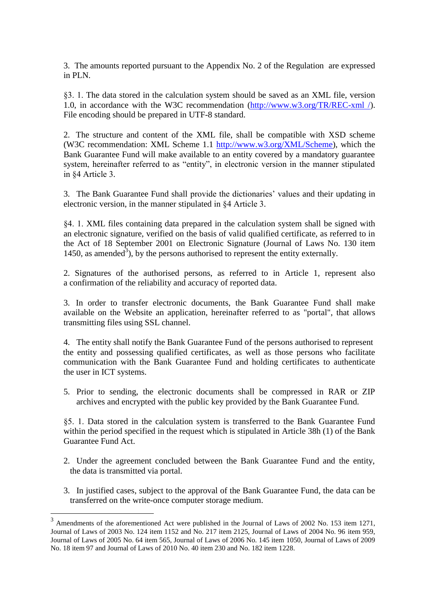3. The amounts reported pursuant to the Appendix No. 2 of the Regulation are expressed in PLN.

§3. 1. The data stored in the calculation system should be saved as an XML file, version 1.0, in accordance with the W3C recommendation [\(http://www.w3.org/TR/REC-xml /\)](http://www.w3.org/TR/REC-xml%20/). File encoding should be prepared in UTF-8 standard.

2. The structure and content of the XML file, shall be compatible with XSD scheme (W3C recommendation: XML Scheme 1.1 [http://www.w3.org/XML/Scheme\)](http://www.w3.org/XML/Scheme), which the Bank Guarantee Fund will make available to an entity covered by a mandatory guarantee system, hereinafter referred to as "entity", in electronic version in the manner stipulated in §4 Article 3.

3. The Bank Guarantee Fund shall provide the dictionaries' values and their updating in electronic version, in the manner stipulated in §4 Article 3.

§4. 1. XML files containing data prepared in the calculation system shall be signed with an electronic signature, verified on the basis of valid qualified certificate, as referred to in the Act of 18 September 2001 on Electronic Signature (Journal of Laws No. 130 item 1450, as amended<sup>3</sup>), by the persons authorised to represent the entity externally.

2. Signatures of the authorised persons, as referred to in Article 1, represent also a confirmation of the reliability and accuracy of reported data.

3. In order to transfer electronic documents, the Bank Guarantee Fund shall make available on the Website an application, hereinafter referred to as "portal", that allows transmitting files using SSL channel.

4. The entity shall notify the Bank Guarantee Fund of the persons authorised to represent the entity and possessing qualified certificates, as well as those persons who facilitate communication with the Bank Guarantee Fund and holding certificates to authenticate the user in ICT systems.

5. Prior to sending, the electronic documents shall be compressed in RAR or ZIP archives and encrypted with the public key provided by the Bank Guarantee Fund.

§5. 1. Data stored in the calculation system is transferred to the Bank Guarantee Fund within the period specified in the request which is stipulated in Article 38h (1) of the Bank Guarantee Fund Act.

- 2. Under the agreement concluded between the Bank Guarantee Fund and the entity, the data is transmitted via portal.
- 3. In justified cases, subject to the approval of the Bank Guarantee Fund, the data can be transferred on the write-once computer storage medium.

<sup>&</sup>lt;sup>3</sup> Amendments of the aforementioned Act were published in the Journal of Laws of 2002 No. 153 item 1271, Journal of Laws of 2003 No. 124 item 1152 and No. 217 item 2125, Journal of Laws of 2004 No. 96 item 959, Journal of Laws of 2005 No. 64 item 565, Journal of Laws of 2006 No. 145 item 1050, Journal of Laws of 2009 No. 18 item 97 and Journal of Laws of 2010 No. 40 item 230 and No. 182 item 1228.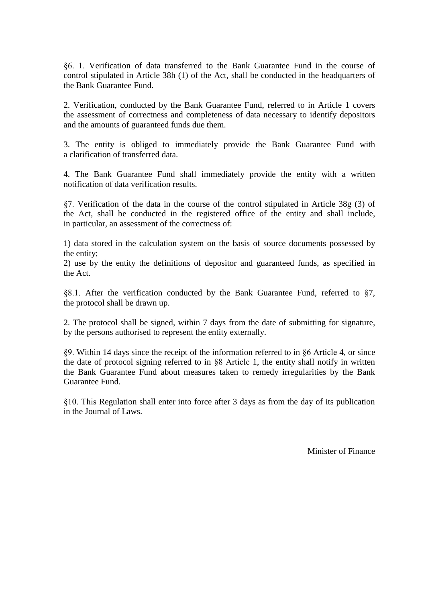§6. 1. Verification of data transferred to the Bank Guarantee Fund in the course of control stipulated in Article 38h (1) of the Act, shall be conducted in the headquarters of the Bank Guarantee Fund.

2. Verification, conducted by the Bank Guarantee Fund, referred to in Article 1 covers the assessment of correctness and completeness of data necessary to identify depositors and the amounts of guaranteed funds due them.

3. The entity is obliged to immediately provide the Bank Guarantee Fund with a clarification of transferred data.

4. The Bank Guarantee Fund shall immediately provide the entity with a written notification of data verification results.

§7. Verification of the data in the course of the control stipulated in Article 38g (3) of the Act, shall be conducted in the registered office of the entity and shall include, in particular, an assessment of the correctness of:

1) data stored in the calculation system on the basis of source documents possessed by the entity;

2) use by the entity the definitions of depositor and guaranteed funds, as specified in the Act.

§8.1. After the verification conducted by the Bank Guarantee Fund, referred to §7, the protocol shall be drawn up.

2. The protocol shall be signed, within 7 days from the date of submitting for signature, by the persons authorised to represent the entity externally.

§9. Within 14 days since the receipt of the information referred to in §6 Article 4, or since the date of protocol signing referred to in §8 Article 1, the entity shall notify in written the Bank Guarantee Fund about measures taken to remedy irregularities by the Bank Guarantee Fund.

§10. This Regulation shall enter into force after 3 days as from the day of its publication in the Journal of Laws.

Minister of Finance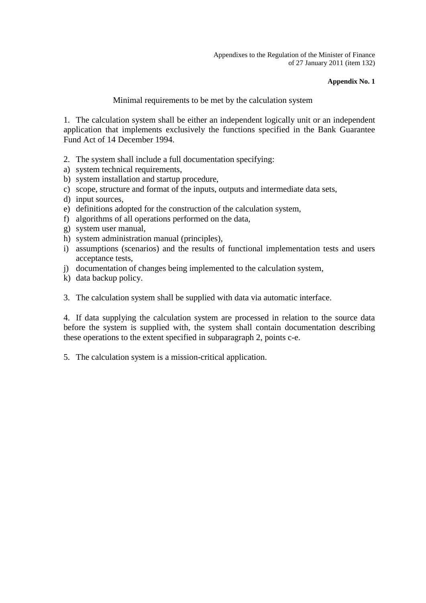Appendixes to the Regulation of the Minister of Finance of 27 January 2011 (item 132)

#### **Appendix No. 1**

### Minimal requirements to be met by the calculation system

1. The calculation system shall be either an independent logically unit or an independent application that implements exclusively the functions specified in the Bank Guarantee Fund Act of 14 December 1994.

- 2. The system shall include a full documentation specifying:
- a) system technical requirements,
- b) system installation and startup procedure,
- c) scope, structure and format of the inputs, outputs and intermediate data sets,
- d) input sources,
- e) definitions adopted for the construction of the calculation system,
- f) algorithms of all operations performed on the data,
- g) system user manual,
- h) system administration manual (principles),
- i) assumptions (scenarios) and the results of functional implementation tests and users acceptance tests,
- j) documentation of changes being implemented to the calculation system,
- k) data backup policy.
- 3. The calculation system shall be supplied with data via automatic interface.

4. If data supplying the calculation system are processed in relation to the source data before the system is supplied with, the system shall contain documentation describing these operations to the extent specified in subparagraph 2, points c-e.

5. The calculation system is a mission-critical application.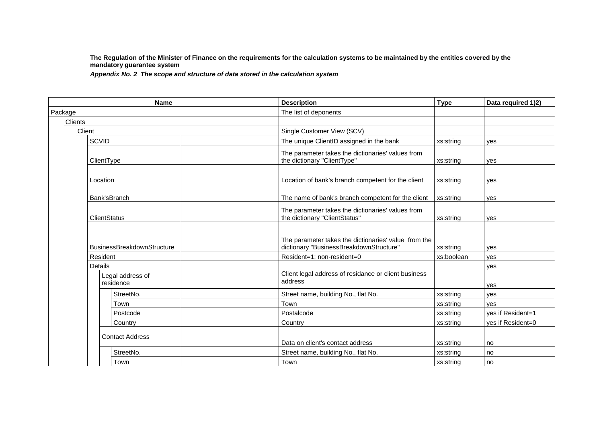**The Regulation of the Minister of Finance on the requirements for the calculation systems to be maintained by the entities covered by the mandatory guarantee system** 

*Appendix No. 2 The scope and structure of data stored in the calculation system*

|         | <b>Name</b>                       | <b>Description</b>                                                                              | <b>Type</b> | Data required 1)2) |
|---------|-----------------------------------|-------------------------------------------------------------------------------------------------|-------------|--------------------|
| Package |                                   | The list of deponents                                                                           |             |                    |
|         | Clients                           |                                                                                                 |             |                    |
|         | Client                            | Single Customer View (SCV)                                                                      |             |                    |
|         | <b>SCVID</b>                      | The unique ClientID assigned in the bank                                                        | xs:string   | ves                |
|         | ClientType                        | The parameter takes the dictionaries' values from<br>the dictionary "ClientType"                | xs:string   | ves                |
|         | Location                          | Location of bank's branch competent for the client                                              | xs:string   | yes                |
|         | Bank'sBranch                      | The name of bank's branch competent for the client                                              | xs:string   | ves                |
|         | <b>ClientStatus</b>               | The parameter takes the dictionaries' values from<br>the dictionary "ClientStatus"              | xs:string   | ves                |
|         | <b>BusinessBreakdownStructure</b> | The parameter takes the dictionaries' value from the<br>dictionary "BusinessBreakdownStructure" | xs:string   | ves                |
|         | Resident                          | Resident=1; non-resident=0                                                                      | xs:boolean  | ves                |
|         | Details                           |                                                                                                 |             | ves                |
|         | Legal address of<br>residence     | Client legal address of residance or client business<br>address                                 |             | ves                |
|         | StreetNo.                         | Street name, building No., flat No.                                                             | xs:string   | ves                |
|         | Town                              | Town                                                                                            | xs:string   | ves                |
|         | Postcode                          | Postalcode                                                                                      | xs:string   | ves if Resident=1  |
|         | Country                           | Country                                                                                         | xs:string   | yes if Resident=0  |
|         | <b>Contact Address</b>            | Data on client's contact address                                                                | xs:string   | no                 |
|         | StreetNo.                         | Street name, building No., flat No.                                                             | xs:string   | no                 |
|         | Town                              | Town                                                                                            | xs:string   | no                 |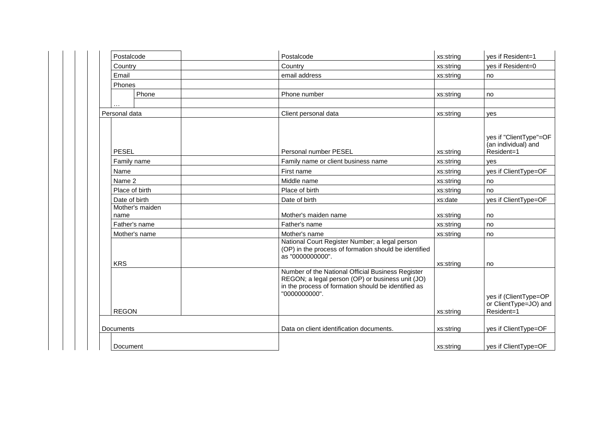| Postalcode              | Postalcode                                                                                                                                                                    | xs:string | ves if Resident=1                                            |
|-------------------------|-------------------------------------------------------------------------------------------------------------------------------------------------------------------------------|-----------|--------------------------------------------------------------|
| Country                 | Country                                                                                                                                                                       | xs:string | yes if Resident=0                                            |
| Email                   | email address                                                                                                                                                                 | xs:string | no                                                           |
| Phones                  |                                                                                                                                                                               |           |                                                              |
| Phone                   | Phone number                                                                                                                                                                  | xs:string | no                                                           |
|                         |                                                                                                                                                                               |           |                                                              |
| Personal data           | Client personal data                                                                                                                                                          | xs:string | ves                                                          |
| <b>PESEL</b>            | Personal number PESEL                                                                                                                                                         | xs:string | yes if "ClientType"=OF<br>(an individual) and<br>Resident=1  |
| Family name             | Family name or client business name                                                                                                                                           | xs:string | ves                                                          |
| Name                    | First name                                                                                                                                                                    | xs:string | yes if ClientType=OF                                         |
| Name 2                  | Middle name                                                                                                                                                                   | xs:string | no                                                           |
| Place of birth          | Place of birth                                                                                                                                                                | xs:string | no                                                           |
| Date of birth           | Date of birth                                                                                                                                                                 | xs:date   | yes if ClientType=OF                                         |
| Mother's maiden<br>name | Mother's maiden name                                                                                                                                                          | xs:string | no                                                           |
| Father's name           | Father's name                                                                                                                                                                 | xs:string | no                                                           |
| Mother's name           | Mother's name                                                                                                                                                                 | xs:string | no                                                           |
| <b>KRS</b>              | National Court Register Number; a legal person<br>(OP) in the process of formation should be identified<br>as "0000000000".                                                   | xs:string | no                                                           |
| <b>REGON</b>            | Number of the National Official Business Register<br>REGON; a legal person (OP) or business unit (JO)<br>in the process of formation should be identified as<br>"0000000000". | xs:string | yes if (ClientType=OP<br>or ClientType=JO) and<br>Resident=1 |
| Documents               | Data on client identification documents.                                                                                                                                      | xs:string | yes if ClientType=OF                                         |
|                         |                                                                                                                                                                               |           |                                                              |
| Document                |                                                                                                                                                                               | xs:string | yes if ClientType=OF                                         |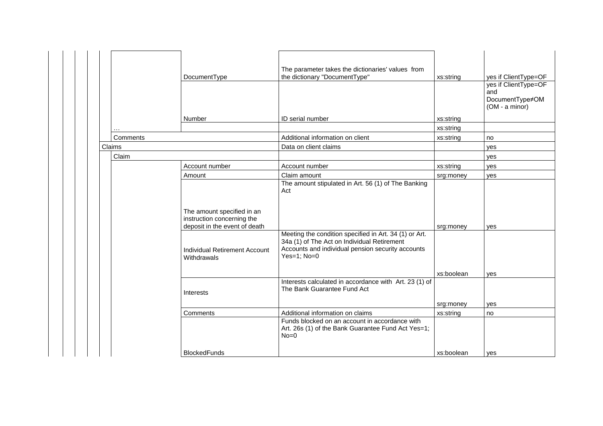|          | DocumentType                                                                              | The parameter takes the dictionaries' values from<br>the dictionary "DocumentType"                                                                                          | xs:string  | yes if ClientType=OF                                             |
|----------|-------------------------------------------------------------------------------------------|-----------------------------------------------------------------------------------------------------------------------------------------------------------------------------|------------|------------------------------------------------------------------|
|          |                                                                                           |                                                                                                                                                                             |            | yes if ClientType=OF<br>and<br>DocumentType≠OM<br>(OM - a minor) |
|          | Number                                                                                    | ID serial number                                                                                                                                                            | xs:string  |                                                                  |
|          |                                                                                           |                                                                                                                                                                             | xs:string  |                                                                  |
| Comments |                                                                                           | Additional information on client                                                                                                                                            | xs:string  | no                                                               |
| Claims   |                                                                                           | Data on client claims                                                                                                                                                       |            | yes                                                              |
| Claim    |                                                                                           |                                                                                                                                                                             |            | yes                                                              |
|          | Account number                                                                            | Account number                                                                                                                                                              | xs:string  | ves                                                              |
|          | Amount                                                                                    | Claim amount                                                                                                                                                                | srg:money  | yes                                                              |
|          |                                                                                           | The amount stipulated in Art. 56 (1) of The Banking<br>Act                                                                                                                  |            |                                                                  |
|          | The amount specified in an<br>instruction concerning the<br>deposit in the event of death |                                                                                                                                                                             | srg:money  | yes                                                              |
|          | <b>Individual Retirement Account</b><br>Withdrawals                                       | Meeting the condition specified in Art. 34 (1) or Art.<br>34a (1) of The Act on Individual Retirement<br>Accounts and individual pension security accounts<br>Yes=1; $No=0$ |            |                                                                  |
|          |                                                                                           |                                                                                                                                                                             | xs:boolean | ves                                                              |
|          | Interests                                                                                 | Interests calculated in accordance with Art. 23 (1) of<br>The Bank Guarantee Fund Act                                                                                       |            |                                                                  |
|          |                                                                                           |                                                                                                                                                                             | srg:money  | yes                                                              |
|          | Comments                                                                                  | Additional information on claims                                                                                                                                            | xs:string  | no                                                               |
|          |                                                                                           | Funds blocked on an account in accordance with<br>Art. 26s (1) of the Bank Guarantee Fund Act Yes=1;<br>$No = 0$                                                            |            |                                                                  |
|          | <b>BlockedFunds</b>                                                                       |                                                                                                                                                                             | xs:boolean | yes                                                              |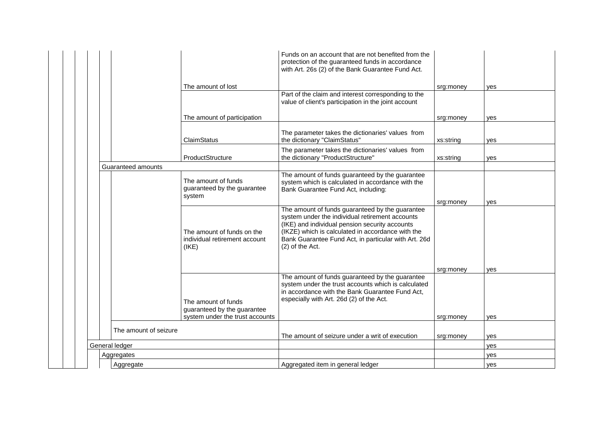|  |                       |                |                                                                                       | Funds on an account that are not benefited from the<br>protection of the guaranteed funds in accordance<br>with Art. 26s (2) of the Bank Guarantee Fund Act.                                                                                                                         |           |     |
|--|-----------------------|----------------|---------------------------------------------------------------------------------------|--------------------------------------------------------------------------------------------------------------------------------------------------------------------------------------------------------------------------------------------------------------------------------------|-----------|-----|
|  |                       |                | The amount of lost                                                                    |                                                                                                                                                                                                                                                                                      | srg:money | yes |
|  |                       |                |                                                                                       | Part of the claim and interest corresponding to the<br>value of client's participation in the joint account                                                                                                                                                                          |           |     |
|  |                       |                | The amount of participation                                                           |                                                                                                                                                                                                                                                                                      | srg:money | yes |
|  |                       |                | ClaimStatus                                                                           | The parameter takes the dictionaries' values from<br>the dictionary "ClaimStatus"                                                                                                                                                                                                    | xs:string | yes |
|  |                       |                | ProductStructure                                                                      | The parameter takes the dictionaries' values from<br>the dictionary "ProductStructure"                                                                                                                                                                                               | xs:string | yes |
|  | Guaranteed amounts    |                |                                                                                       |                                                                                                                                                                                                                                                                                      |           |     |
|  |                       |                | The amount of funds<br>guaranteed by the guarantee<br>system                          | The amount of funds guaranteed by the guarantee<br>system which is calculated in accordance with the<br>Bank Guarantee Fund Act, including:                                                                                                                                          |           |     |
|  |                       |                |                                                                                       |                                                                                                                                                                                                                                                                                      | srg:money | ves |
|  |                       |                | The amount of funds on the<br>individual retirement account<br>(IKE)                  | The amount of funds guaranteed by the guarantee<br>system under the individual retirement accounts<br>(IKE) and individual pension security accounts<br>(IKZE) which is calculated in accordance with the<br>Bank Guarantee Fund Act, in particular with Art. 26d<br>(2) of the Act. |           |     |
|  |                       |                |                                                                                       |                                                                                                                                                                                                                                                                                      | srg:money | yes |
|  |                       |                | The amount of funds<br>guaranteed by the guarantee<br>system under the trust accounts | The amount of funds guaranteed by the guarantee<br>system under the trust accounts which is calculated<br>in accordance with the Bank Guarantee Fund Act,<br>especially with Art. 26d (2) of the Act.                                                                                | srg:money | ves |
|  |                       |                |                                                                                       |                                                                                                                                                                                                                                                                                      |           |     |
|  | The amount of seizure |                |                                                                                       | The amount of seizure under a writ of execution                                                                                                                                                                                                                                      | srg:money | yes |
|  |                       | General ledger |                                                                                       |                                                                                                                                                                                                                                                                                      |           | ves |
|  |                       | Aggregates     |                                                                                       |                                                                                                                                                                                                                                                                                      |           | yes |
|  |                       | Aggregate      |                                                                                       | Aggregated item in general ledger                                                                                                                                                                                                                                                    |           | yes |